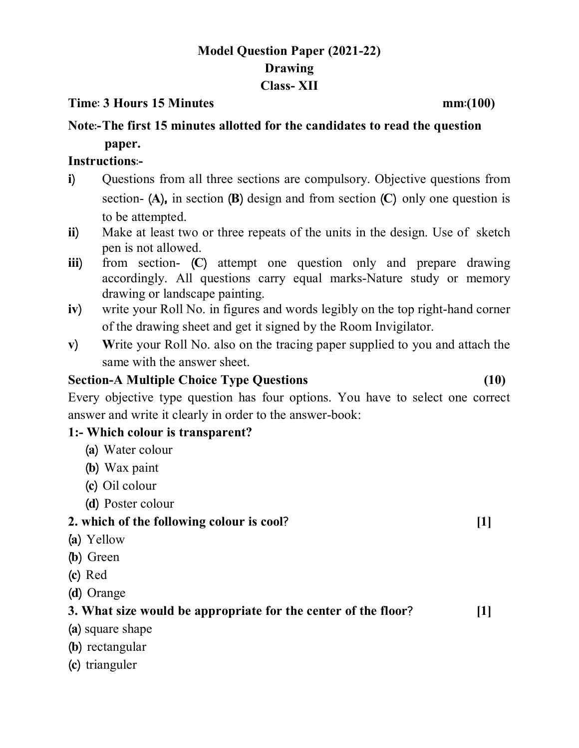# **Model Question Paper (2021-22) Drawing Class- XII**

#### **Time% 3 Hours 15 Minutes mm%(100)**

# **Note%-The first 15 minutes allotted for the candidates to read the question paper.**

#### **Instructions%-**

- **i**) Questions from all three sections are compulsory. Objective questions from section-  $(A)$ , in section  $(B)$  design and from section  $(C)$  only one question is to be attempted.
- **ii**) Make at least two or three repeats of the units in the design. Use of sketch pen is not allowed.
- **iii**) from section- **(C)** attempt one question only and prepare drawing accordingly. All questions carry equal marks-Nature study or memory drawing or landscape painting.
- **iv**) write your Roll No. in figures and words legibly on the top right-hand corner of the drawing sheet and get it signed by the Room Invigilator.
- **v**) Write your Roll No. also on the tracing paper supplied to you and attach the same with the answer sheet.

### **Section-A Multiple Choice Type Questions (10)**

Every objective type question has four options. You have to select one correct answer and write it clearly in order to the answer-book:

#### **1:- Which colour is transparent?**

- **¼a½** Water colour
- **¼b½** Wax paint
- **¼c½** Oil colour
- **¼d½** Poster colour

# **2. which of the following colour is cool\ [1]**

- **¼ aa½** Yellow
- **(b)** Green
- **¼c½** Red
- **¼d½** Orange

# **3. What size would be appropriate for the center of the floor\ [1]**

- **¼a½** square shape
- **¼b½** rectangular
- **¼c½** trianguler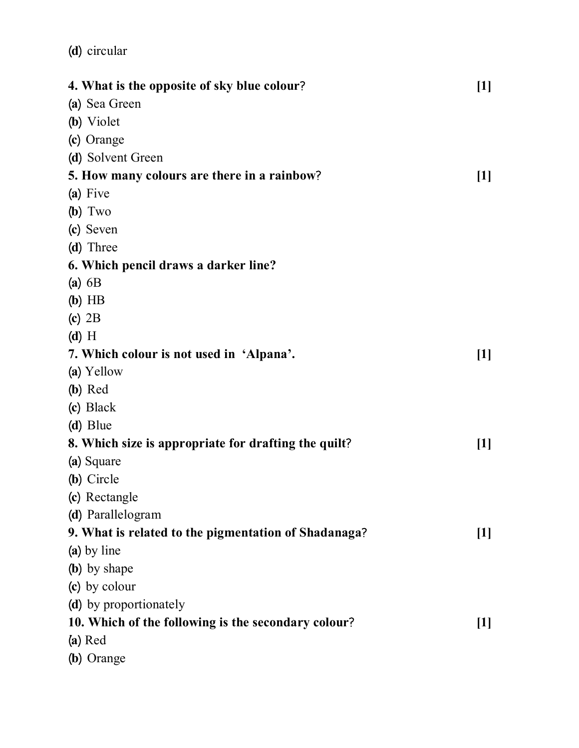| 4. What is the opposite of sky blue colour?          | $[1]$ |
|------------------------------------------------------|-------|
| (a) Sea Green                                        |       |
| (b) Violet                                           |       |
| (c) Orange                                           |       |
| (d) Solvent Green                                    |       |
| 5. How many colours are there in a rainbow?          | $[1]$ |
| (a) Five                                             |       |
| $(b)$ Two                                            |       |
| (c) Seven                                            |       |
| (d) Three                                            |       |
| 6. Which pencil draws a darker line?                 |       |
| $(a)$ 6B                                             |       |
| $(b)$ HB                                             |       |
| $(c)$ 2B                                             |       |
| $(d)$ H                                              |       |
| 7. Which colour is not used in 'Alpana'.             | $[1]$ |
| (a) Yellow                                           |       |
| $(b)$ Red                                            |       |
| (c) Black                                            |       |
| (d) Blue                                             |       |
| 8. Which size is appropriate for drafting the quilt? | $[1]$ |
| (a) Square                                           |       |
| (b) Circle                                           |       |
| (c) Rectangle                                        |       |
| (d) Parallelogram                                    |       |
| 9. What is related to the pigmentation of Shadanaga? | $[1]$ |
| (a) by line                                          |       |
| (b) by shape                                         |       |
| (c) by colour                                        |       |
| (d) by proportionately                               |       |
| 10. Which of the following is the secondary colour?  | $[1]$ |
| $(a)$ Red                                            |       |
| (b) Orange                                           |       |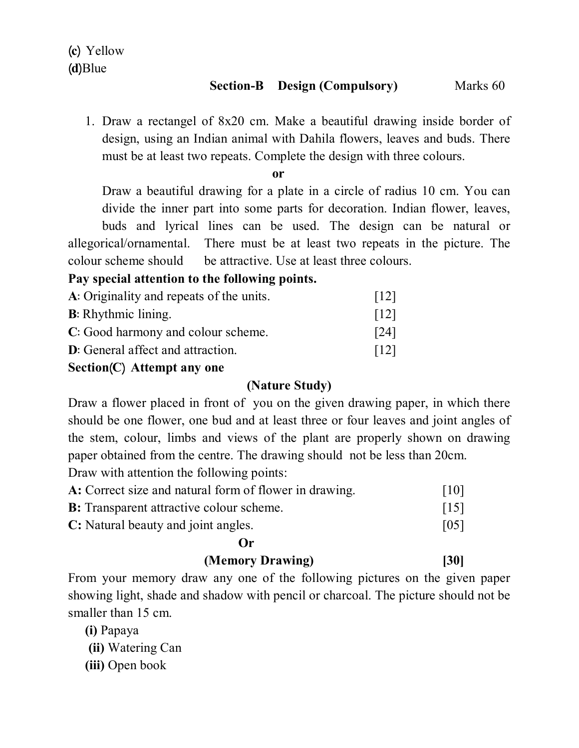#### **Section-B Design (Compulsory)** Marks 60

1. Draw a rectangel of 8x20 cm. Make a beautiful drawing inside border of design, using an Indian animal with Dahila flowers, leaves and buds. There must be at least two repeats. Complete the design with three colours.

**or**

Draw a beautiful drawing for a plate in a circle of radius 10 cm. You can divide the inner part into some parts for decoration. Indian flower, leaves, buds and lyrical lines can be used. The design can be natural or allegorical/ornamental. There must be at least two repeats in the picture. The colour scheme should be attractive. Use at least three colours.

# **Pay special attention to the following points.**

| A: Originality and repeats of the units.  | $\lceil 12 \rceil$ |
|-------------------------------------------|--------------------|
| <b>B</b> : Rhythmic lining.               | $\lceil 12 \rceil$ |
| C: Good harmony and colour scheme.        | $\lceil 24 \rceil$ |
| <b>D</b> : General affect and attraction. | $\lceil 12 \rceil$ |

### **Section¼C½ Attempt any one**

#### **(Nature Study)**

Draw a flower placed in front of you on the given drawing paper, in which there should be one flower, one bud and at least three or four leaves and joint angles of the stem, colour, limbs and views of the plant are properly shown on drawing paper obtained from the centre. The drawing should not be less than 20cm.

Draw with attention the following points:

| A: Correct size and natural form of flower in drawing. | $\lceil 10 \rceil$ |
|--------------------------------------------------------|--------------------|
| <b>B:</b> Transparent attractive colour scheme.        | $\lceil 15 \rceil$ |
| C: Natural beauty and joint angles.                    | $\lceil 05 \rceil$ |

#### **Or**

# **(Memory Drawing) [30]**

From your memory draw any one of the following pictures on the given paper showing light, shade and shadow with pencil or charcoal. The picture should not be smaller than 15 cm.

**(i)** Papaya

**(ii)** Watering Can

**(iii)** Open book